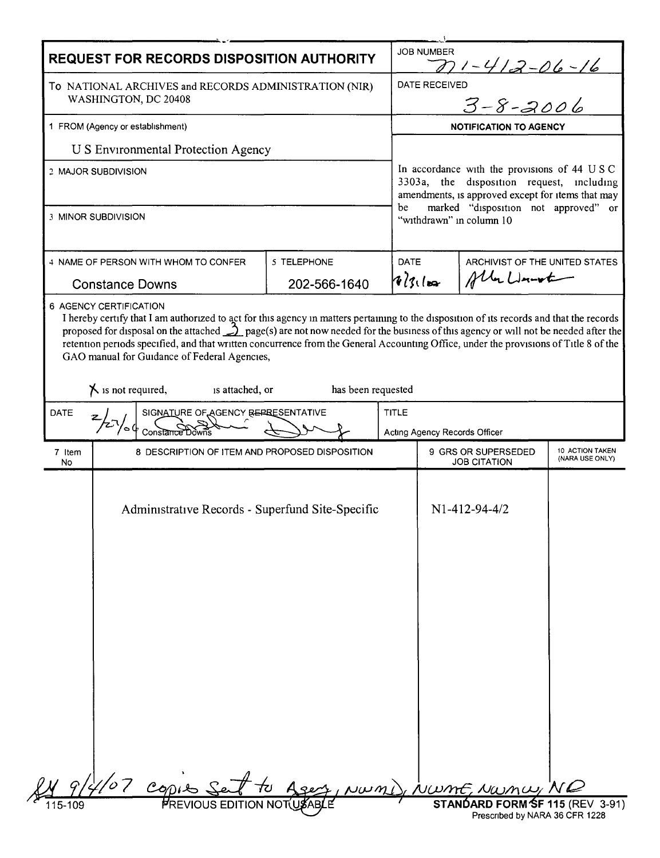| <b>REQUEST FOR RECORDS DISPOSITION AUTHORITY</b>                                                                  |                                                                                                                                  |                    |                                                                                                                                                                                       | <b>JOB NUMBER</b><br>$271 - 412 - 06 - 16$                              |                                               |                                    |  |
|-------------------------------------------------------------------------------------------------------------------|----------------------------------------------------------------------------------------------------------------------------------|--------------------|---------------------------------------------------------------------------------------------------------------------------------------------------------------------------------------|-------------------------------------------------------------------------|-----------------------------------------------|------------------------------------|--|
| To NATIONAL ARCHIVES and RECORDS ADMINISTRATION (NIR)<br>WASHINGTON, DC 20408<br>1 FROM (Agency or establishment) |                                                                                                                                  |                    |                                                                                                                                                                                       | :D<br>3-8-2006<br><b>DATE RECEIVED</b><br><b>NOTIFICATION TO AGENCY</b> |                                               |                                    |  |
|                                                                                                                   |                                                                                                                                  |                    |                                                                                                                                                                                       |                                                                         |                                               |                                    |  |
| <b>US</b> Environmental Protection Agency                                                                         |                                                                                                                                  |                    |                                                                                                                                                                                       |                                                                         |                                               |                                    |  |
| 2 MAJOR SUBDIVISION                                                                                               |                                                                                                                                  |                    | In accordance with the provisions of 44 USC<br>3303a, the disposition request, including<br>amendments, is approved except for items that may<br>marked "disposition not approved" or |                                                                         |                                               |                                    |  |
|                                                                                                                   | 3 MINOR SUBDIVISION                                                                                                              |                    | be                                                                                                                                                                                    |                                                                         | "withdrawn" in column 10                      |                                    |  |
| 4 NAME OF PERSON WITH WHOM TO CONFER<br><b>Constance Downs</b>                                                    |                                                                                                                                  | 5 TELEPHONE        | DATE                                                                                                                                                                                  |                                                                         | ARCHIVIST OF THE UNITED STATES<br>Aller Lunch |                                    |  |
|                                                                                                                   |                                                                                                                                  | 202-566-1640       |                                                                                                                                                                                       | $18/31$ kg                                                              |                                               |                                    |  |
| DATE                                                                                                              | GAO manual for Guidance of Federal Agencies,<br>$\chi$ is not required,<br>is attached, or<br>SIGNATURE OF AGENCY REPRESENTATIVE | has been requested | <b>TITLE</b>                                                                                                                                                                          |                                                                         |                                               |                                    |  |
|                                                                                                                   |                                                                                                                                  |                    |                                                                                                                                                                                       |                                                                         |                                               |                                    |  |
|                                                                                                                   |                                                                                                                                  |                    |                                                                                                                                                                                       |                                                                         | Acting Agency Records Officer                 |                                    |  |
| 7 Item<br>No                                                                                                      | 8 DESCRIPTION OF ITEM AND PROPOSED DISPOSITION                                                                                   |                    |                                                                                                                                                                                       |                                                                         | 9 GRS OR SUPERSEDED<br><b>JOB CITATION</b>    | 10 ACTION TAKEN<br>(NARA USE ONLY) |  |
|                                                                                                                   | Administrative Records - Superfund Site-Specific                                                                                 |                    |                                                                                                                                                                                       |                                                                         | N1-412-94-4/2                                 |                                    |  |
|                                                                                                                   | Copies Sent to                                                                                                                   | Agest, NWMI        |                                                                                                                                                                                       |                                                                         | WwmE, NWMW, NQ                                |                                    |  |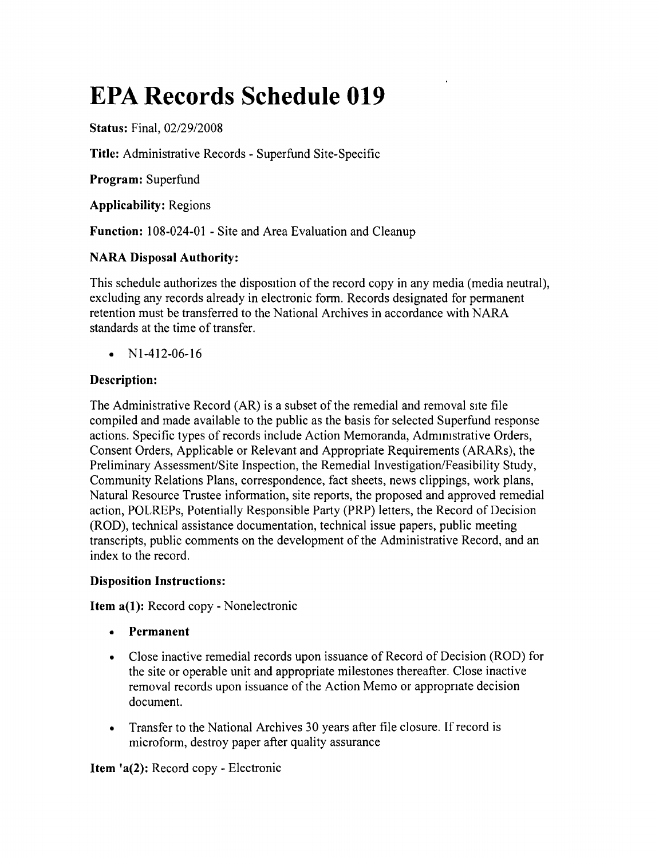# **EPA Records Schedule 019**

**Status:** Final, *02/29/2008*

**Title:** Administrative Records - Superfund Site-Specific

**Program:** Superfund

**Applicability:** Regions

**Function:** 108-024-01 - Site and Area Evaluation and Cleanup

# **NARA Disposal Authority:**

This schedule authorizes the disposition of the record copy in any media (media neutral), excluding any records already in electronic form. Records designated for permanent retention must be transferred to the National Archives in accordance with NARA standards at the time of transfer.

•  $N1-412-06-16$ 

# **Description:**

The Administrative Record (AR) is a subset of the remedial and removal site file compiled and made available to the public as the basis for selected Superfund response actions. Specific types of records include Action Memoranda, Administrative Orders, Consent Orders, Applicable or Relevant and Appropriate Requirements (ARARs), the Preliminary Assessment/Site Inspection, the Remedial Investigation/Feasibility Study, Community Relations Plans, correspondence, fact sheets, news clippings, work plans, Natural Resource Trustee information, site reports, the proposed and approved remedial action, POLREPs, Potentially Responsible Party (PRP) letters, the Record of Decision (ROD), technical assistance documentation, technical issue papers, public meeting transcripts, public comments on the development of the Administrative Record, and an index to the record.

## **Disposition Instructions:**

**Item a(1):** Record copy - Nonelectronic

- **• Permanent**
- Close inactive remedial records upon issuance of Record of Decision (ROD) for the site or operable unit and appropriate milestones thereafter. Close inactive removal records upon issuance of the Action Memo or appropnate decision document.
- Transfer to the National Archives 30 years after file closure. If record is microform, destroy paper after quality assurance

**Item** 'a(2): Record copy - Electronic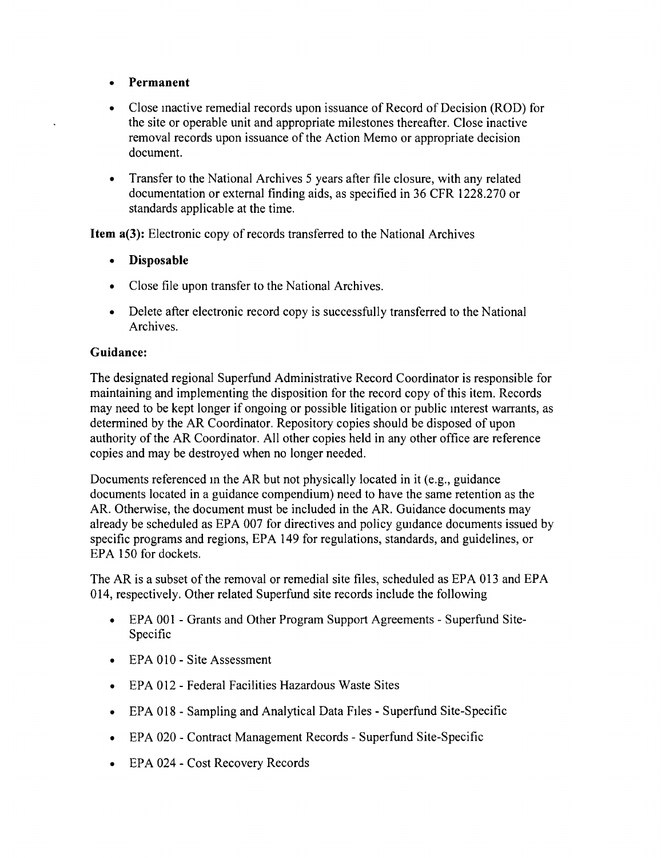## **• Permanent**

- Close inactive remedial records upon issuance of Record of Decision (ROD) for the site or operable unit and appropriate milestones thereafter. Close inactive removal records upon issuance of the Action Memo or appropriate decision document.
- Transfer to the National Archives 5 years after file closure, with any related documentation or external finding aids, as specified in 36 CFR 1228.270 or standards applicable at the time.

**Item a(3):** Electronic copy of records transferred to the National Archives

- **• Disposable**
- Close file upon transfer to the National Archives.
- Delete after electronic record copy is successfully transferred to the National Archives.

## **Guidance:**

The designated regional Superfund Administrative Record Coordinator is responsible for maintaining and implementing the disposition for the record copy of this item. Records may need to be kept longer if ongoing or possible litigation or public interest warrants, as determined by the AR Coordinator. Repository copies should be disposed of upon authority of the AR Coordinator. All other copies held in any other office are reference copies and may be destroyed when no longer needed.

Documents referenced in the AR but not physically located in it (e.g., guidance documents located in a guidance compendium) need to have the same retention as the AR. Otherwise, the document must be included in the AR. Guidance documents may already be scheduled as EPA 007 for directives and policy guidance documents issued by specific programs and regions, EPA 149 for regulations, standards, and guidelines, or EPA 150 for dockets.

The AR is a subset of the removal or remedial site files, scheduled as EPA 013 and EPA 014, respectively. Other related Superfund site records include the following

- EPA 001 Grants and Other Program Support Agreements Superfund Site-Specific
- EPA 010 Site Assessment
- • EPA 012 Federal Facilities Hazardous Waste Sites
- EPA 018 Sampling and Analytical Data Files Superfund Site-Specific
- EPA 020 Contract Management Records Superfund Site-Specific
- EPA 024 Cost Recovery Records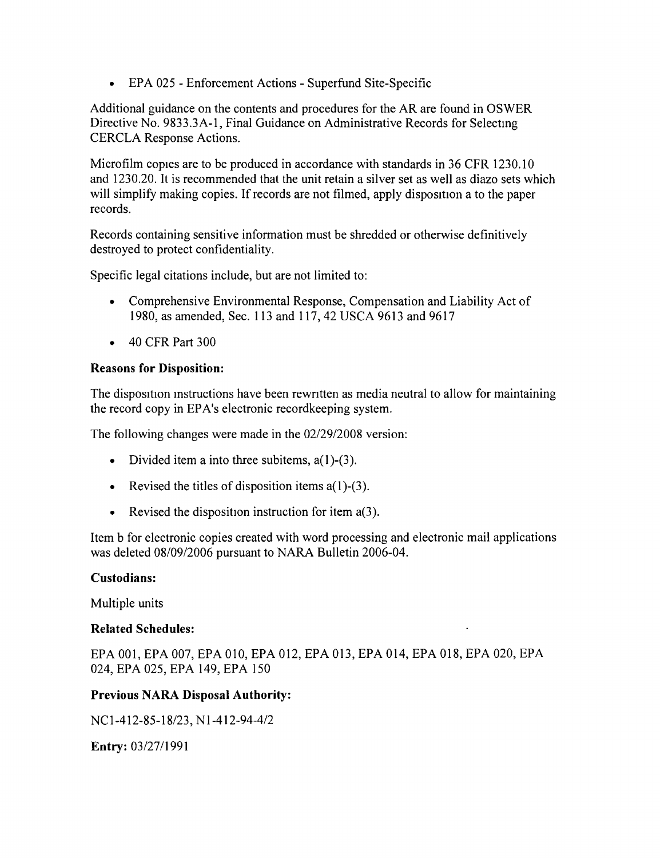• EPA 025 - Enforcement Actions - Superfund Site-Specific

Additional guidance on the contents and procedures for the AR are found in OSWER Directive No. 9833.3A-1, Final Guidance on Administrative Records for Selecting CERCLA Response Actions.

Microfilm copies are to be produced in accordance with standards in 36 CFR 1230.10 and 1230.20. It is recommended that the unit retain a silver set as well as diazo sets which will simplify making copies. If records are not filmed, apply disposition a to the paper records.

Records containing sensitive information must be shredded or otherwise definitively destroyed to protect confidentiality.

Specific legal citations include, but are not limited to:

- Comprehensive Environmental Response, Compensation and Liability Act of 1980, as amended, Sec. 113 and 117, 42 USCA 9613 and 9617
- 40 CFR Part 300

### Reasons for Disposition:

The disposition instructions have been rewritten as media neutral to allow for maintaining the record copy in EPA's electronic recordkeeping system.

The following changes were made in the *02/29/2008* version:

- Divided item a into three subitems,  $a(1)$ - $(3)$ .
- Revised the titles of disposition items  $a(1)$ -(3).
- Revised the disposition instruction for item  $a(3)$ .

Item b for electronic copies created with word processing and electronic mail applications was deleted *08/09/2006* pursuant to NARA Bulletin 2006-04.

#### Custodians:

Multiple units

### Related Schedules:

EPA 001, EPA 007, EPA 010, EPA 012, EPA 013, EPA 014, EPA 018, EPA 020, EPA 024, EPA 025, EPA 149, EPA 150

#### Previous NARA Disposal Authority:

NC *1-412-85-18/23,* N *1-412-94-412*

Entry: *03/2711991*